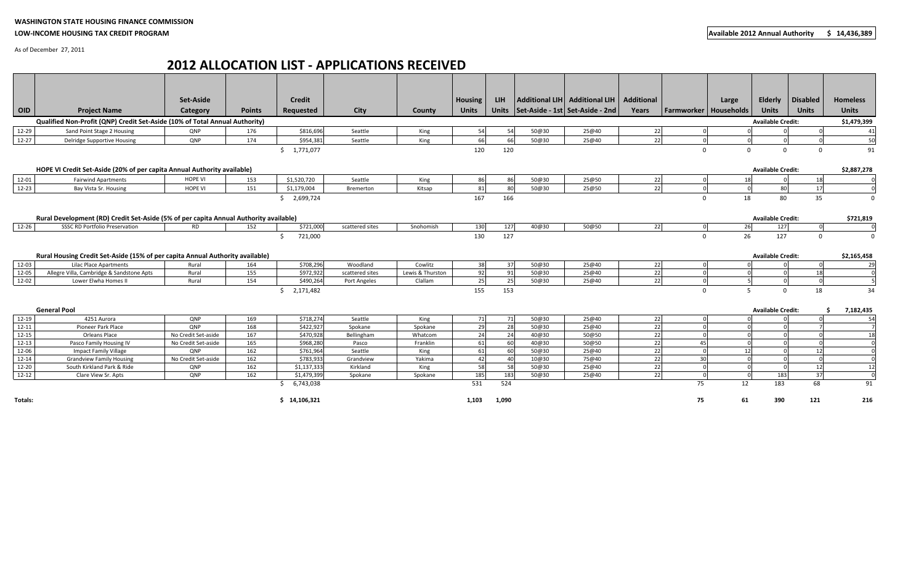## **WASHINGTON STATE HOUSING FINANCE COMMISSION**

## **LOW‐INCOME HOUSING TAX CREDIT PROGRAM**

As of December 27, 2011

## **2012 ALLOCATION LIST ‐ APPLICATIONS RECEIVED**

|            |                                                                                       | Set-Aside           |               | <b>Credit</b>   |                 |                  | <b>Housing</b> | LIH . |       | Additional LIH   Additional LIH   Additional |       |                         | Large    | <b>Elderly</b>           | <b>Disabled</b> | <b>Homeless</b> |
|------------|---------------------------------------------------------------------------------------|---------------------|---------------|-----------------|-----------------|------------------|----------------|-------|-------|----------------------------------------------|-------|-------------------------|----------|--------------------------|-----------------|-----------------|
| <b>OID</b> | <b>Project Name</b>                                                                   | Category            | <b>Points</b> | Requested       | City            | County           | <b>Units</b>   |       |       | Units   Set-Aside - 1st   Set-Aside - 2nd    | Years | Farmworker   Households |          | <b>Units</b>             | <b>Units</b>    | <b>Units</b>    |
|            | Qualified Non-Profit (QNP) Credit Set-Aside (10% of Total Annual Authority)           |                     |               |                 |                 |                  |                |       |       |                                              |       |                         |          | <b>Available Credit:</b> |                 |                 |
|            |                                                                                       |                     |               |                 |                 |                  |                |       |       |                                              |       |                         |          |                          |                 | \$1,479,399     |
| 12-29      | Sand Point Stage 2 Housing                                                            | QNP                 | 176           | \$816,696       | Seattle         | King             | 54             | 54    | 50@30 | 25@40                                        | 22    |                         |          |                          |                 | 41              |
| $12 - 27$  | Delridge Supportive Housing                                                           | QNP                 | 174           | \$954,381       | Seattle         | King             | 66             | 66    | 50@30 | 25@40                                        | 22    |                         |          |                          |                 | 50              |
|            |                                                                                       |                     |               | \$1,771,077     |                 |                  | 120            | 120   |       |                                              |       | $\Omega$                | $\Omega$ | $\Omega$                 | $\Omega$        | 91              |
|            |                                                                                       |                     |               |                 |                 |                  |                |       |       |                                              |       |                         |          |                          |                 |                 |
|            | HOPE VI Credit Set-Aside (20% of per capita Annual Authority available)               |                     |               |                 |                 |                  |                |       |       |                                              |       |                         |          | <b>Available Credit:</b> |                 | \$2,887,278     |
| 12-01      | <b>Fairwind Apartments</b>                                                            | <b>HOPE VI</b>      | 153           | \$1,520,720     | Seattle         | King             | 86             | 86    | 50@30 | 25@50                                        | 22    |                         | 18       |                          | 18              |                 |
| $12 - 23$  | Bay Vista Sr. Housing                                                                 | <b>HOPE VI</b>      | 151           | \$1,179,004     | Bremerton       | Kitsap           | 81             | 80    | 50@30 | 25@50                                        | 22    |                         |          | 80                       | 17              |                 |
|            |                                                                                       |                     |               | \$2,699,724     |                 |                  | 167            | 166   |       |                                              |       | $\Omega$                | 18       | 80                       | 35              | $\mathbf 0$     |
|            |                                                                                       |                     |               |                 |                 |                  |                |       |       |                                              |       |                         |          |                          |                 |                 |
|            | Rural Development (RD) Credit Set-Aside (5% of per capita Annual Authority available) |                     |               |                 |                 |                  |                |       |       |                                              |       |                         |          | <b>Available Credit:</b> |                 | \$721,819       |
| 12-26      | <b>SSSC RD Portfolio Preservation</b>                                                 | <b>RD</b>           | 152           | \$721,000       | scattered sites | Snohomish        | 130            | 127   | 40@30 | 50@50                                        | 22    | $\Omega$                | 26       | 127                      | $\overline{0}$  | $\mathbf 0$     |
|            |                                                                                       |                     |               | 721,000<br>S.   |                 |                  | 130            | 127   |       |                                              |       | $\Omega$                | 26       | 127                      | $\mathbf{0}$    | $\mathbf 0$     |
|            |                                                                                       |                     |               |                 |                 |                  |                |       |       |                                              |       |                         |          |                          |                 |                 |
|            | Rural Housing Credit Set-Aside (15% of per capita Annual Authority available)         |                     |               |                 |                 |                  |                |       |       |                                              |       |                         |          | <b>Available Credit:</b> |                 | \$2,165,458     |
| $12-03$    | <b>Lilac Place Apartments</b>                                                         | Rural               | 164           | \$708,296       | Woodland        | Cowlitz          | 38             | 37    | 50@30 | 25@40                                        | 22    |                         |          |                          |                 | 29              |
| 12-05      | Allegre Villa, Cambridge & Sandstone Apts                                             | Rural               | 155           | \$972,922       | scattered sites | Lewis & Thurston | 92             | 91    | 50@30 | 25@40                                        | 22    |                         |          |                          | 18              |                 |
| 12-02      | Lower Elwha Homes II                                                                  | Rural               | 154           | \$490,264       | Port Angeles    | Clallam          | 25             | 25    | 50@30 | 25@40                                        | 22    |                         |          |                          |                 |                 |
|            |                                                                                       |                     |               | 2,171,482<br>Ś. |                 |                  | 155            | 153   |       |                                              |       | $\Omega$                | 5        | $\Omega$                 | 18              | 34              |
|            |                                                                                       |                     |               |                 |                 |                  |                |       |       |                                              |       |                         |          |                          |                 |                 |
|            | <b>General Pool</b>                                                                   |                     |               |                 |                 |                  |                |       |       |                                              |       |                         |          | <b>Available Credit:</b> |                 |                 |
| 12-19      | 4251 Aurora                                                                           | QNP                 | 169           | \$718,274       | Seattle         | King             | 71             | 71    | 50@30 | 25@40                                        | 22    |                         |          |                          |                 | 7,182,435<br>54 |
| $12 - 11$  | Pioneer Park Place                                                                    | <b>ONP</b>          | 168           | \$422,927       | Spokane         | Spokane          | 29             | 28    | 50@30 | 25@40                                        | 22    |                         |          |                          |                 |                 |
| $12 - 15$  | Orleans Place                                                                         | No Credit Set-aside | 167           | \$470,928       | Bellingham      | Whatcom          | 24             | 24    | 40@30 | 50@50                                        | 22    |                         |          |                          |                 | 18              |
| $12 - 13$  | Pasco Family Housing IV                                                               | No Credit Set-aside | 165           | \$968,280       | Pasco           | Franklin         | 61             | 60    | 40@30 | 50@50                                        | 22    | 45                      |          |                          |                 |                 |
| 12-06      | Impact Family Village                                                                 | <b>QNP</b>          | 162           | \$761,964       | Seattle         | King             | 61             | 60    | 50@30 | 25@40                                        | 22    |                         | 12       |                          | 12              |                 |
| $12 - 14$  | <b>Grandview Family Housing</b>                                                       | No Credit Set-aside | 162           | \$783,933       | Grandview       | Yakima           | 42             | 40    | 10@30 | 75@40                                        | 22    | 30 <sup>1</sup>         |          |                          |                 | $\mathbf 0$     |
| $12 - 20$  | South Kirkland Park & Ride                                                            | QNP                 | 162           | \$1,137,333     | Kirkland        | King             | 58             | 58    | 50@30 | 25@40                                        | 22    |                         |          |                          | 12              | 12              |
| $12 - 12$  | Clare View Sr. Apts                                                                   | <b>ONP</b>          | 162           | \$1,479,399     | Spokane         | Spokane          | 185            | 183   | 50@30 | 25@40                                        | 22    | $\Omega$                |          | 183                      | 37              | $\mathbf 0$     |
|            |                                                                                       |                     |               | 6,743,038<br>S. |                 |                  | 531            | 524   |       |                                              |       | 75                      | 12       | 183                      | 68              | 91              |
|            |                                                                                       |                     |               |                 |                 |                  |                |       |       |                                              |       |                         |          |                          |                 |                 |
| Totals:    |                                                                                       |                     |               | \$14,106,321    |                 |                  | 1,103          | 1,090 |       |                                              |       | 75                      | 61       | 390                      | 121             | 216             |